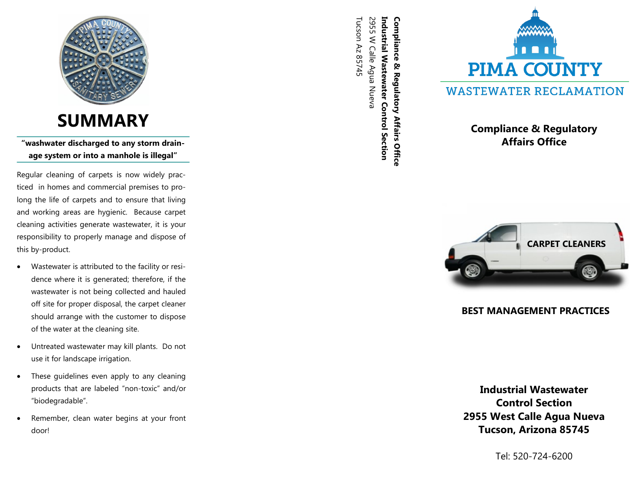

# **SUMMARY**

**"washwater discharged to any storm drainage system or into a manhole is illegal"**

Regular cleaning of carpets is now widely practiced in homes and commercial premises to prolong the life of carpets and to ensure that living and working areas are hygienic. Because carpet cleaning activities generate wastewater, it is your responsibility to properly manage and dispose of this by-product.

- Wastewater is attributed to the facility or residence where it is generated; therefore, if the wastewater is not being collected and hauled off site for proper disposal, the carpet cleaner should arrange with the customer to dispose of the water at the cleaning site.
- Untreated wastewater may kill plants. Do not use it for landscape irrigation.
- These guidelines even apply to any cleaning products that are labeled "non -toxic" and/or "biodegradable".
- Remember, clean water begins at your front door!

Tucson Az 85745 Tucson Az 85745 2955 W Calle Agua Nueva 2955 W Calle Agua Nueva **Industrial Wastewater Control Section Industrial Wastewater Control Section**  Compliance & Regulatory Affairs Office **Compliance & Regulatory Affairs Office** 



# **Compliance & Regulatory Affairs Office**



# **BEST MANAGEMENT PRACTICES**

**Industrial Wastewater Control Section 2955 West Calle Agua Nueva Tucson, Arizona 85745** 

Tel: 520 -724 -6200